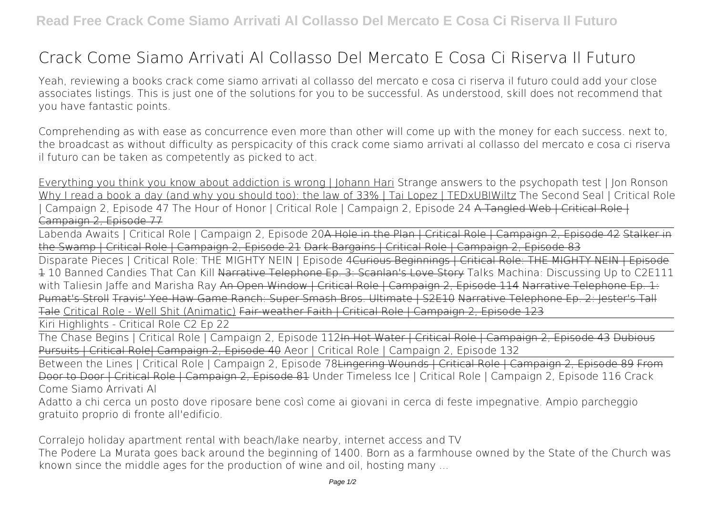## **Crack Come Siamo Arrivati Al Collasso Del Mercato E Cosa Ci Riserva Il Futuro**

Yeah, reviewing a books **crack come siamo arrivati al collasso del mercato e cosa ci riserva il futuro** could add your close associates listings. This is just one of the solutions for you to be successful. As understood, skill does not recommend that you have fantastic points.

Comprehending as with ease as concurrence even more than other will come up with the money for each success. next to, the broadcast as without difficulty as perspicacity of this crack come siamo arrivati al collasso del mercato e cosa ci riserva il futuro can be taken as competently as picked to act.

Everything you think you know about addiction is wrong | Johann Hari **Strange answers to the psychopath test | Jon Ronson** Why I read a book a day (and why you should too): the law of 33% | Tai Lopez | TEDxUBIWiltz *The Second Seal | Critical Role | Campaign 2, Episode 47* **The Hour of Honor | Critical Role | Campaign 2, Episode 24** A Tangled Web | Critical Role | Campaign 2, Episode 77

Labenda Awaits | Critical Role | Campaign 2, Episode 20<del>A Hole in the Plan | Critical Role | Campaign 2, Episode 42 Stalker in</del> the Swamp | Critical Role | Campaign 2, Episode 21 Dark Bargains | Critical Role | Campaign 2, Episode 83

Disparate Pieces | Critical Role: THE MIGHTY NEIN | Episode 4Curious Beginnings | Critical Role: THE MIGHTY NEIN | Episode 1 10 Banned Candies That Can Kill Narrative Telephone Ep. 3: Scanlan's Love Story *Talks Machina: Discussing Up to C2E111 with Taliesin Jaffe and Marisha Ray* An Open Window | Critical Role | Campaign 2, Episode 114 Narrative Telephone Ep. 1: Pumat's Stroll Travis' Yee-Haw Game Ranch: Super Smash Bros. Ultimate | S2E10 Narrative Telephone Ep. 2: Jester's Tale Critical Role - Well Shit (Animatic) Fair-weather Faith | Critical Role |

Kiri Highlights - Critical Role C2 Ep 22

The Chase Begins | Critical Role | Campaign 2, Episode 112In Hot Water | Critical Role | Campaign 2, Episode 43 Dubious Pursuits | Critical Role| Campaign 2, Episode 40 Aeor | Critical Role | Campaign 2, Episode 132

Between the Lines | Critical Role | Campaign 2, Episode 78Lingering Wounds | Critical Role | Campaign 2, Episode 89 From Door to Door | Critical Role | Campaign 2, Episode 81 *Under Timeless Ice | Critical Role | Campaign 2, Episode 116* Crack Come Siamo Arrivati Al

Adatto a chi cerca un posto dove riposare bene così come ai giovani in cerca di feste impegnative. Ampio parcheggio gratuito proprio di fronte all'edificio.

Corralejo holiday apartment rental with beach/lake nearby, internet access and TV

The Podere La Murata goes back around the beginning of 1400. Born as a farmhouse owned by the State of the Church was known since the middle ages for the production of wine and oil, hosting many ...